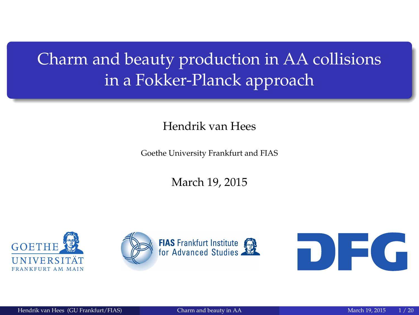# <span id="page-0-0"></span>Charm and beauty production in AA collisions in a Fokker-Planck approach

Hendrik van Hees

Goethe University Frankfurt and FIAS

March 19, 2015





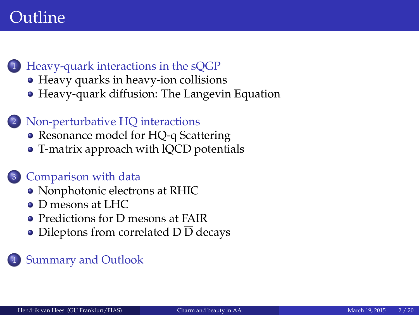### Outline

- <sup>1</sup> [Heavy-quark interactions in the sQGP](#page-2-0)
	- [Heavy quarks in heavy-ion collisions](#page-2-0)
	- [Heavy-quark diffusion: The Langevin Equation](#page-4-0)
	- Non-perturbative HO interactions
		- [Resonance model for HQ-q Scattering](#page-5-0)
		- [T-matrix approach with lQCD potentials](#page-9-0)

#### <sup>3</sup> [Comparison with data](#page-13-0)

- [Nonphotonic electrons at RHIC](#page-13-0)
- [D mesons at LHC](#page-14-0)
- **[Predictions for D mesons at FAIR](#page-15-0)**
- [Dileptons from correlated D](#page-18-0) D decays

#### **[Summary and Outlook](#page-19-0)**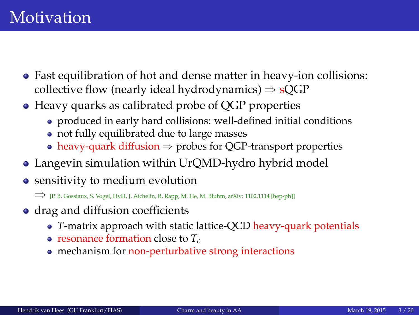- <span id="page-2-0"></span>• Fast equilibration of hot and dense matter in heavy-ion collisions: collective flow (nearly ideal hydrodynamics)  $\Rightarrow$  sOGP
- Heavy quarks as calibrated probe of QGP properties
	- produced in early hard collisions: well-defined initial conditions
	- not fully equilibrated due to large masses
	- heavy-quark diffusion  $\Rightarrow$  probes for OGP-transport properties
- Langevin simulation within UrQMD-hydro hybrid model
- sensitivity to medium evolution

⇒ [P. B. Gossiaux, S. Vogel, HvH, J. Aichelin, R. Rapp, M. He, M. Bluhm, arXiv: 1102.1114 [hep-ph]]

- drag and diffusion coefficients
	- *T*-matrix approach with static lattice-QCD heavy-quark potentials
	- resonance formation close to *Tc*
	- mechanism for non-perturbative strong interactions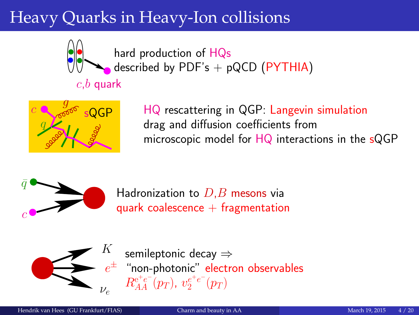# Heavy Quarks in Heavy-Ion collisions



hard production of HQs described by  $PDF's + pQCD$  ( $PYTHIA$ )

# $c,b$  quark



HQ rescattering in QGP: Langevin simulation drag and diffusion coefficients from microscopic model for HQ interactions in the sQGP



Hadronization to  $D,B$  mesons via quark coalescence  $+$  fragmentation



 $e^\pm$  "non-photonic" electron observables semileptonic decay ⇒  $R_{AA}^{\mathrm{e^+e^-}}(p_T),\ v_{2}^{e^+e^-}(p_T)$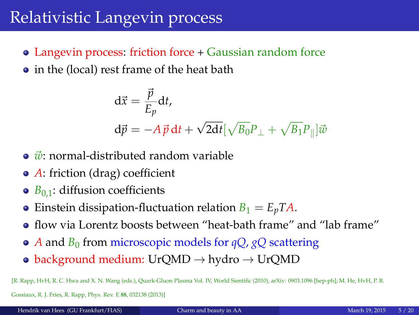### <span id="page-4-0"></span>Relativistic Langevin process

- Langevin process: friction force + Gaussian random force
- in the (local) rest frame of the heat bath

$$
\begin{aligned} \mathbf{d}\vec{x} &= \frac{\vec{p}}{E_p} \mathbf{d}t, \\ \mathbf{d}\vec{p} &= -A\,\vec{p}\,\mathbf{d}t + \sqrt{2\mathbf{d}t} \left[\sqrt{B_0}P_\perp + \sqrt{B_1}P_\parallel\right] \vec{w} \end{aligned}
$$

- $\vec{w}$ : normal-distributed random variable
- *A*: friction (drag) coefficient
- $\bullet$  *B*<sub>0.1</sub>: diffusion coefficients
- Einstein dissipation-fluctuation relation  $B_1 = E_p T A$ .
- flow via Lorentz boosts between "heat-bath frame" and "lab frame"
- *A* and *B*<sup>0</sup> from microscopic models for *qQ*, *gQ* scattering
- background medium: UrQMD  $\rightarrow$  hydro  $\rightarrow$  UrQMD

[R. Rapp, HvH, R. C. Hwa and X. N. Wang (eds.), Quark-Gluon Plasma Vol. IV, World Sientific (2010), arXiv: 0903.1096 [hep-ph]; M. He, HvH, P. B.

Gossiaux, R. J. Fries, R. Rapp, Phys. Rev. E **88**, 032138 (2013)]

Hendrik van Hees (GU Frankfurt/FIAS) [Charm and beauty in AA](#page-0-0) March 19, 2015 5/20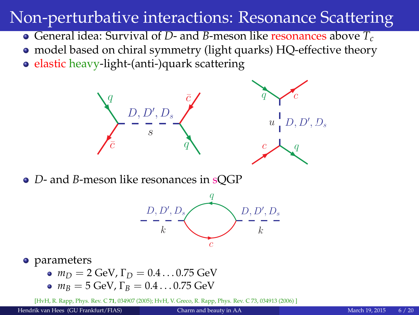### <span id="page-5-0"></span>Non-perturbative interactions: Resonance Scattering

- General idea: Survival of *D* and *B*-meson like resonances above *T<sup>c</sup>*
- model based on chiral symmetry (light quarks) HQ-effective theory
- elastic heavy-light-(anti-)quark scattering



*D*- and *B*-meson like resonances in sQGP



#### • parameters

- $m_D = 2$  GeV,  $\Gamma_D = 0.4 \dots 0.75$  GeV
- $m_B = 5$  GeV,  $\Gamma_B = 0.4 \dots 0.75$  GeV

[HvH, R. Rapp, Phys. Rev. C **71**, 034907 (2005); HvH, V. Greco, R. Rapp, Phys. Rev. C 73, 034913 (2006) ]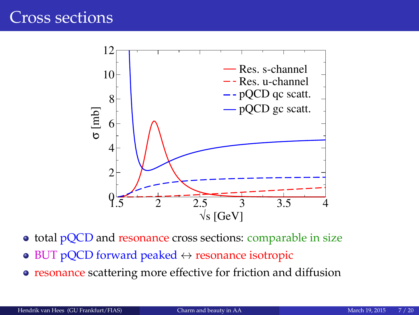

- total pQCD and resonance cross sections: comparable in size
- $\bullet$  BUT pQCD forward peaked  $\leftrightarrow$  resonance isotropic
- resonance scattering more effective for friction and diffusion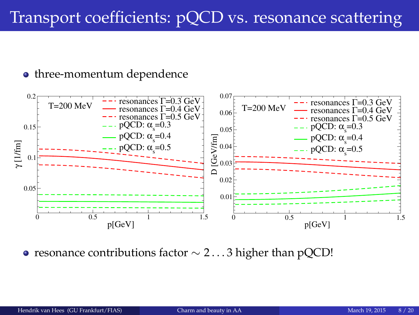# Transport coefficients: pQCD vs. resonance scattering

#### • three-momentum dependence



• resonance contributions factor  $\sim$  2...3 higher than pQCD!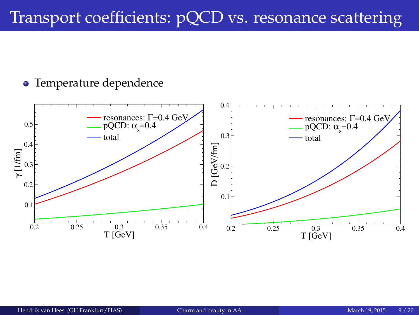## Transport coefficients: pQCD vs. resonance scattering

#### Temperature dependence

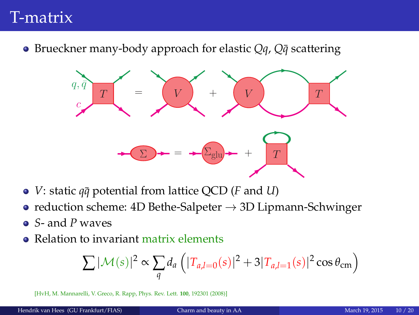### <span id="page-9-0"></span>T-matrix

● Brueckner many-body approach for elastic *Qq*, *Q* $\bar{q}$  scattering



- *V*: static  $q\bar{q}$  potential from lattice QCD (*F* and *U*)
- reduction scheme: 4D Bethe-Salpeter  $\rightarrow$  3D Lipmann-Schwinger
- *S* and *P* waves
- Relation to invariant matrix elements

$$
\sum |\mathcal{M}(s)|^2 \propto \sum_{q} d_a \left( |T_{a,l=0}(s)|^2 + 3|T_{a,l=1}(s)|^2 \cos \theta_{\rm cm} \right)
$$

[HvH, M. Mannarelli, V. Greco, R. Rapp, Phys. Rev. Lett. **100**, 192301 (2008)]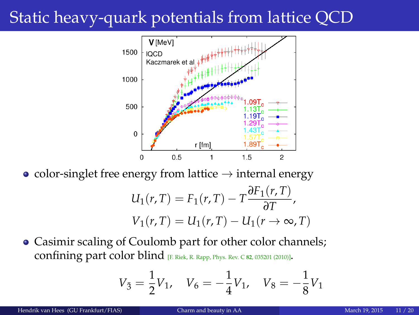## Static heavy-quark potentials from lattice QCD



• color-singlet free energy from lattice  $\rightarrow$  internal energy

$$
U_1(r,T) = F_1(r,T) - T \frac{\partial F_1(r,T)}{\partial T},
$$
  

$$
V_1(r,T) = U_1(r,T) - U_1(r \to \infty, T)
$$

Casimir scaling of Coulomb part for other color channels; confining part color blind [F. Riek, R. Rapp, Phys. Rev. C **<sup>82</sup>**, 035201 (2010)].

$$
V_3 = \frac{1}{2}V_1, \quad V_6 = -\frac{1}{4}V_1, \quad V_8 = -\frac{1}{8}V_1
$$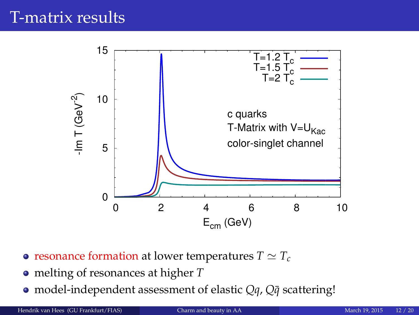### T-matrix results



- resonance formation at lower temperatures  $T \simeq T_c$
- melting of resonances at higher *T*
- model-independent assessment of elastic *Qq*, *Q* $\bar{q}$  scattering!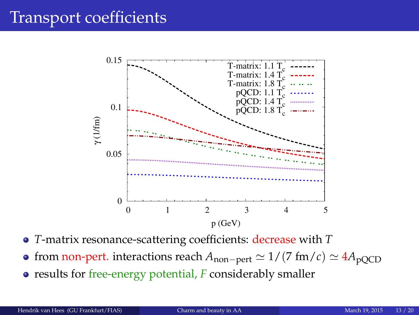### Transport coefficients



- *T*-matrix resonance-scattering coefficients: decrease with *T*
- **•** from non-pert. interactions reach  $A_{\text{non-pert}} \simeq 1/(7 \text{ fm}/c) \simeq 4A_{\text{pQCD}}$
- results for free-energy potential, *F* considerably smaller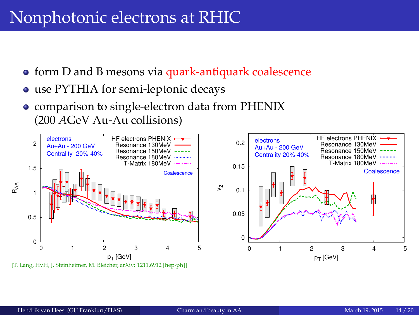### <span id="page-13-0"></span>Nonphotonic electrons at RHIC

- **•** form D and B mesons via quark-antiquark coalescence
- use PYTHIA for semi-leptonic decays
- comparison to single-electron data from PHENIX (200 *A*GeV Au-Au collisions)

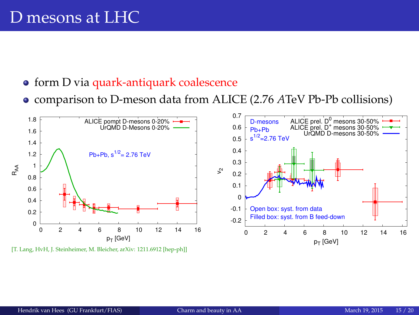### <span id="page-14-0"></span>D mesons at LHC

- form D via quark-antiquark coalescence
- comparison to D-meson data from ALICE (2.76 *A*TeV Pb-Pb collisions)



[T. Lang, HvH, J. Steinheimer, M. Bleicher, arXiv: 1211.6912 [hep-ph]]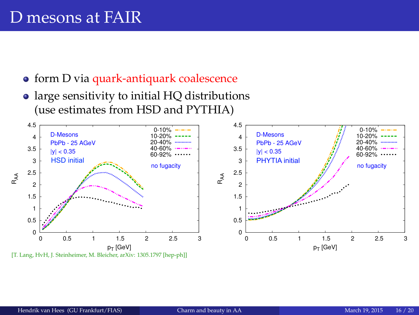### <span id="page-15-0"></span>D mesons at FAIR

- **•** form D via quark-antiquark coalescence
- large sensitivity to initial HQ distributions (use estimates from HSD and PYTHIA)

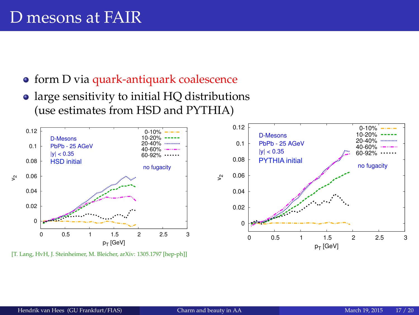- form D via quark-antiquark coalescence
- large sensitivity to initial HQ distributions (use estimates from HSD and PYTHIA)



[T. Lang, HyH, J. Steinheimer, M. Bleicher, arXiv: 1305.1797 [hep-ph]]



0-10%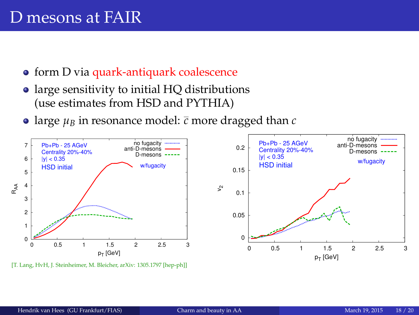- form D via quark-antiquark coalescence
- large sensitivity to initial HQ distributions (use estimates from HSD and PYTHIA)
- large  $\mu_B$  in resonance model:  $\bar{c}$  more dragged than  $c$



[T. Lang, HvH, J. Steinheimer, M. Bleicher, arXiv: 1305.1797 [hep-ph]]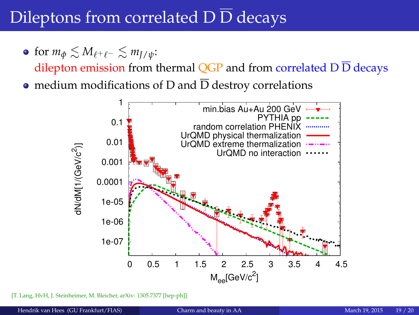## <span id="page-18-0"></span>Dileptons from correlated  $\overline{D} \overline{D}$  decays

• for  $m_{\phi} \lesssim M_{\ell^+ \ell^-} \lesssim m_{\bar{I}/\psi}$ :

dilepton emission from thermal OGP and from correlated  $D\overline{D}$  decays

• medium modifications of D and  $\overline{D}$  destroy correlations



[T. Lang, HyH, J. Steinheimer, M. Bleicher, arXiv: 1305.7377 [hep-ph]]